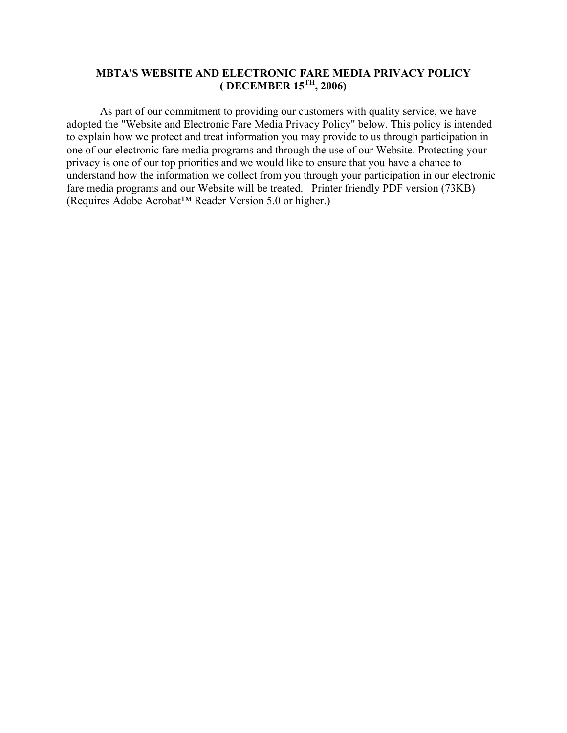### **MBTA'S WEBSITE AND ELECTRONIC FARE MEDIA PRIVACY POLICY ( DECEMBER 15TH, 2006)**

As part of our commitment to providing our customers with quality service, we have adopted the "Website and Electronic Fare Media Privacy Policy" below. This policy is intended to explain how we protect and treat information you may provide to us through participation in one of our electronic fare media programs and through the use of our Website. Protecting your privacy is one of our top priorities and we would like to ensure that you have a chance to understand how the information we collect from you through your participation in our electronic fare media programs and our Website will be treated. Printer friendly PDF version (73KB) (Requires Adobe Acrobat™ Reader Version 5.0 or higher.)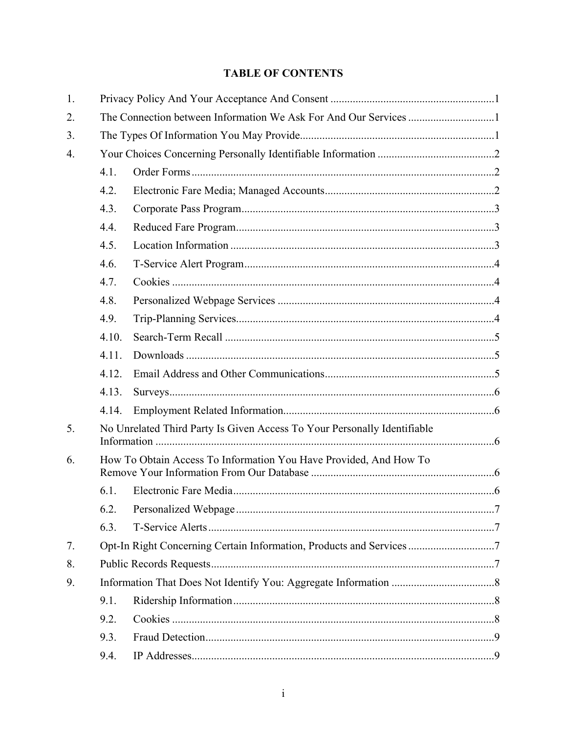# **TABLE OF CONTENTS**

| 1.               |                                                                   |                                                                          |  |  |
|------------------|-------------------------------------------------------------------|--------------------------------------------------------------------------|--|--|
| 2.               |                                                                   | The Connection between Information We Ask For And Our Services 1         |  |  |
| 3.               |                                                                   |                                                                          |  |  |
| $\overline{4}$ . |                                                                   |                                                                          |  |  |
|                  | 4.1.                                                              |                                                                          |  |  |
|                  | 4.2.                                                              |                                                                          |  |  |
|                  | 4.3.                                                              |                                                                          |  |  |
|                  | 4.4.                                                              |                                                                          |  |  |
|                  | 4.5.                                                              |                                                                          |  |  |
|                  | 4.6.                                                              |                                                                          |  |  |
|                  | 4.7.                                                              |                                                                          |  |  |
|                  | 4.8.                                                              |                                                                          |  |  |
|                  | 4.9.                                                              |                                                                          |  |  |
|                  | 4.10.                                                             |                                                                          |  |  |
|                  | 4.11.                                                             |                                                                          |  |  |
|                  | 4.12.                                                             |                                                                          |  |  |
|                  | 4.13.                                                             |                                                                          |  |  |
|                  | 4.14.                                                             |                                                                          |  |  |
| 5.               |                                                                   | No Unrelated Third Party Is Given Access To Your Personally Identifiable |  |  |
| 6.               | How To Obtain Access To Information You Have Provided, And How To |                                                                          |  |  |
|                  | 6.1.                                                              |                                                                          |  |  |
|                  |                                                                   |                                                                          |  |  |
|                  | 6.3.                                                              |                                                                          |  |  |
| 7.               |                                                                   | Opt-In Right Concerning Certain Information, Products and Services7      |  |  |
| 8.               |                                                                   |                                                                          |  |  |
| 9.               |                                                                   |                                                                          |  |  |
|                  | 9.1.                                                              |                                                                          |  |  |
|                  | 9.2.                                                              |                                                                          |  |  |
|                  | 9.3.                                                              |                                                                          |  |  |
|                  | 9.4.                                                              |                                                                          |  |  |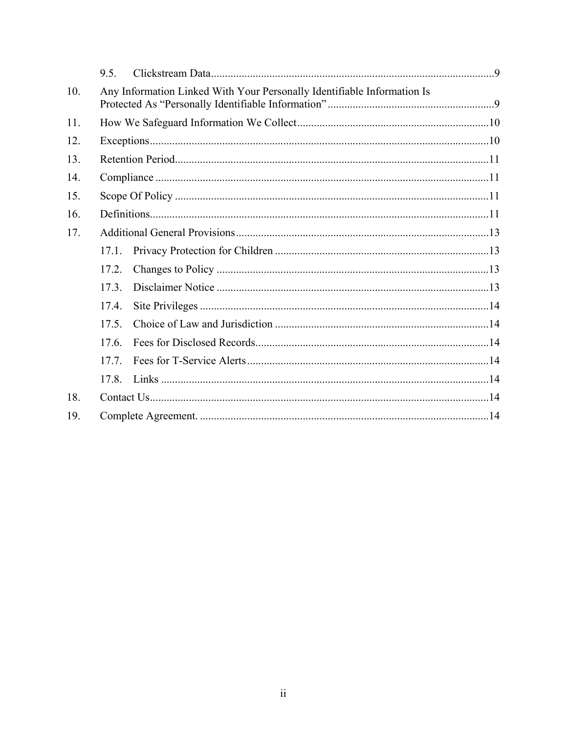|     | 9.5.                                                                    |  |  |  |
|-----|-------------------------------------------------------------------------|--|--|--|
| 10. | Any Information Linked With Your Personally Identifiable Information Is |  |  |  |
| 11. |                                                                         |  |  |  |
| 12. |                                                                         |  |  |  |
| 13. |                                                                         |  |  |  |
| 14. |                                                                         |  |  |  |
| 15. |                                                                         |  |  |  |
| 16. |                                                                         |  |  |  |
| 17. |                                                                         |  |  |  |
|     | 17.1.                                                                   |  |  |  |
|     | 17.2.                                                                   |  |  |  |
|     | 17.3.                                                                   |  |  |  |
|     | 17.4.                                                                   |  |  |  |
|     | 17.5.                                                                   |  |  |  |
|     | 17.6.                                                                   |  |  |  |
|     | 17.7.                                                                   |  |  |  |
|     | 17.8.                                                                   |  |  |  |
| 18. |                                                                         |  |  |  |
| 19. |                                                                         |  |  |  |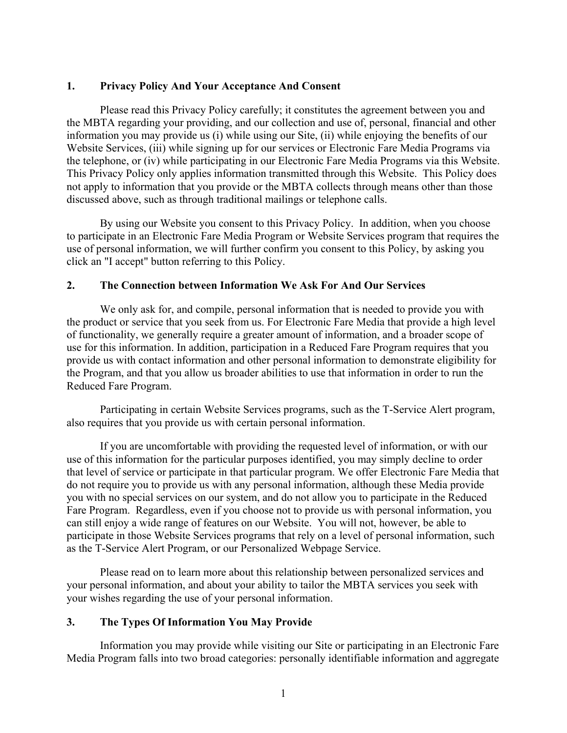#### **1. Privacy Policy And Your Acceptance And Consent**

Please read this Privacy Policy carefully; it constitutes the agreement between you and the MBTA regarding your providing, and our collection and use of, personal, financial and other information you may provide us (i) while using our Site, (ii) while enjoying the benefits of our Website Services, (iii) while signing up for our services or Electronic Fare Media Programs via the telephone, or (iv) while participating in our Electronic Fare Media Programs via this Website. This Privacy Policy only applies information transmitted through this Website. This Policy does not apply to information that you provide or the MBTA collects through means other than those discussed above, such as through traditional mailings or telephone calls.

By using our Website you consent to this Privacy Policy. In addition, when you choose to participate in an Electronic Fare Media Program or Website Services program that requires the use of personal information, we will further confirm you consent to this Policy, by asking you click an "I accept" button referring to this Policy.

#### **2. The Connection between Information We Ask For And Our Services**

We only ask for, and compile, personal information that is needed to provide you with the product or service that you seek from us. For Electronic Fare Media that provide a high level of functionality, we generally require a greater amount of information, and a broader scope of use for this information. In addition, participation in a Reduced Fare Program requires that you provide us with contact information and other personal information to demonstrate eligibility for the Program, and that you allow us broader abilities to use that information in order to run the Reduced Fare Program.

Participating in certain Website Services programs, such as the T-Service Alert program, also requires that you provide us with certain personal information.

If you are uncomfortable with providing the requested level of information, or with our use of this information for the particular purposes identified, you may simply decline to order that level of service or participate in that particular program. We offer Electronic Fare Media that do not require you to provide us with any personal information, although these Media provide you with no special services on our system, and do not allow you to participate in the Reduced Fare Program. Regardless, even if you choose not to provide us with personal information, you can still enjoy a wide range of features on our Website. You will not, however, be able to participate in those Website Services programs that rely on a level of personal information, such as the T-Service Alert Program, or our Personalized Webpage Service.

Please read on to learn more about this relationship between personalized services and your personal information, and about your ability to tailor the MBTA services you seek with your wishes regarding the use of your personal information.

#### **3. The Types Of Information You May Provide**

Information you may provide while visiting our Site or participating in an Electronic Fare Media Program falls into two broad categories: personally identifiable information and aggregate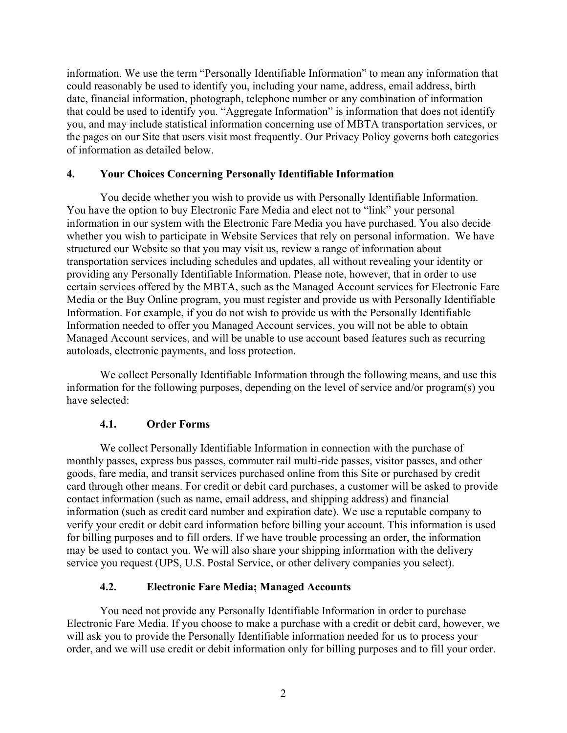information. We use the term "Personally Identifiable Information" to mean any information that could reasonably be used to identify you, including your name, address, email address, birth date, financial information, photograph, telephone number or any combination of information that could be used to identify you. "Aggregate Information" is information that does not identify you, and may include statistical information concerning use of MBTA transportation services, or the pages on our Site that users visit most frequently. Our Privacy Policy governs both categories of information as detailed below.

#### **4. Your Choices Concerning Personally Identifiable Information**

You decide whether you wish to provide us with Personally Identifiable Information. You have the option to buy Electronic Fare Media and elect not to "link" your personal information in our system with the Electronic Fare Media you have purchased. You also decide whether you wish to participate in Website Services that rely on personal information. We have structured our Website so that you may visit us, review a range of information about transportation services including schedules and updates, all without revealing your identity or providing any Personally Identifiable Information. Please note, however, that in order to use certain services offered by the MBTA, such as the Managed Account services for Electronic Fare Media or the Buy Online program, you must register and provide us with Personally Identifiable Information. For example, if you do not wish to provide us with the Personally Identifiable Information needed to offer you Managed Account services, you will not be able to obtain Managed Account services, and will be unable to use account based features such as recurring autoloads, electronic payments, and loss protection.

We collect Personally Identifiable Information through the following means, and use this information for the following purposes, depending on the level of service and/or program(s) you have selected:

### **4.1. Order Forms**

We collect Personally Identifiable Information in connection with the purchase of monthly passes, express bus passes, commuter rail multi-ride passes, visitor passes, and other goods, fare media, and transit services purchased online from this Site or purchased by credit card through other means. For credit or debit card purchases, a customer will be asked to provide contact information (such as name, email address, and shipping address) and financial information (such as credit card number and expiration date). We use a reputable company to verify your credit or debit card information before billing your account. This information is used for billing purposes and to fill orders. If we have trouble processing an order, the information may be used to contact you. We will also share your shipping information with the delivery service you request (UPS, U.S. Postal Service, or other delivery companies you select).

### **4.2. Electronic Fare Media; Managed Accounts**

You need not provide any Personally Identifiable Information in order to purchase Electronic Fare Media. If you choose to make a purchase with a credit or debit card, however, we will ask you to provide the Personally Identifiable information needed for us to process your order, and we will use credit or debit information only for billing purposes and to fill your order.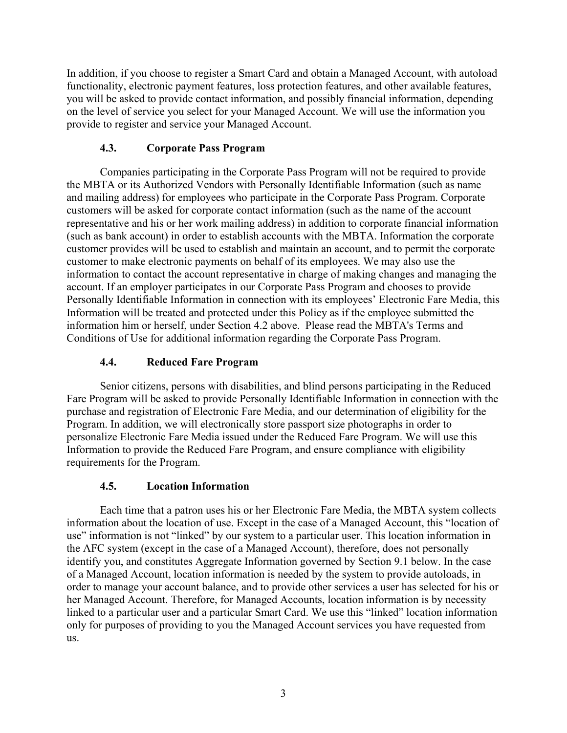In addition, if you choose to register a Smart Card and obtain a Managed Account, with autoload functionality, electronic payment features, loss protection features, and other available features, you will be asked to provide contact information, and possibly financial information, depending on the level of service you select for your Managed Account. We will use the information you provide to register and service your Managed Account.

# **4.3. Corporate Pass Program**

Companies participating in the Corporate Pass Program will not be required to provide the MBTA or its Authorized Vendors with Personally Identifiable Information (such as name and mailing address) for employees who participate in the Corporate Pass Program. Corporate customers will be asked for corporate contact information (such as the name of the account representative and his or her work mailing address) in addition to corporate financial information (such as bank account) in order to establish accounts with the MBTA. Information the corporate customer provides will be used to establish and maintain an account, and to permit the corporate customer to make electronic payments on behalf of its employees. We may also use the information to contact the account representative in charge of making changes and managing the account. If an employer participates in our Corporate Pass Program and chooses to provide Personally Identifiable Information in connection with its employees' Electronic Fare Media, this Information will be treated and protected under this Policy as if the employee submitted the information him or herself, under Section 4.2 above. Please read the MBTA's Terms and Conditions of Use for additional information regarding the Corporate Pass Program.

# **4.4. Reduced Fare Program**

Senior citizens, persons with disabilities, and blind persons participating in the Reduced Fare Program will be asked to provide Personally Identifiable Information in connection with the purchase and registration of Electronic Fare Media, and our determination of eligibility for the Program. In addition, we will electronically store passport size photographs in order to personalize Electronic Fare Media issued under the Reduced Fare Program. We will use this Information to provide the Reduced Fare Program, and ensure compliance with eligibility requirements for the Program.

# **4.5. Location Information**

Each time that a patron uses his or her Electronic Fare Media, the MBTA system collects information about the location of use. Except in the case of a Managed Account, this "location of use" information is not "linked" by our system to a particular user. This location information in the AFC system (except in the case of a Managed Account), therefore, does not personally identify you, and constitutes Aggregate Information governed by Section 9.1 below. In the case of a Managed Account, location information is needed by the system to provide autoloads, in order to manage your account balance, and to provide other services a user has selected for his or her Managed Account. Therefore, for Managed Accounts, location information is by necessity linked to a particular user and a particular Smart Card. We use this "linked" location information only for purposes of providing to you the Managed Account services you have requested from us.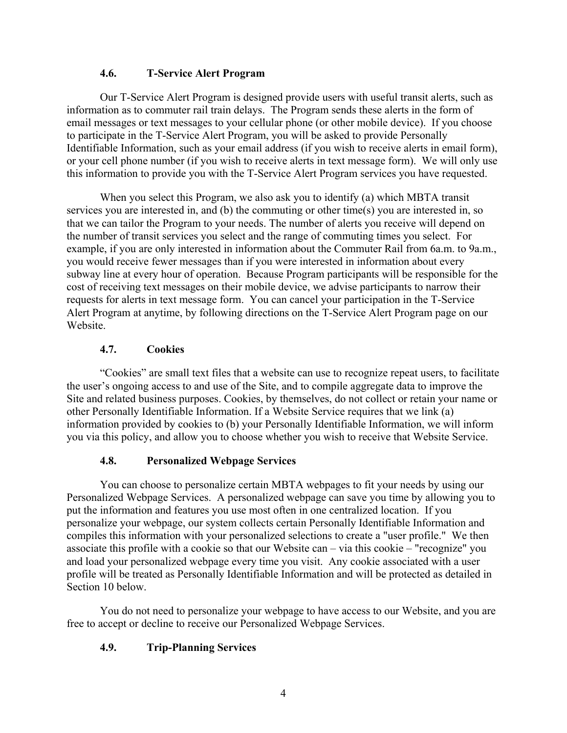#### **4.6. T-Service Alert Program**

Our T-Service Alert Program is designed provide users with useful transit alerts, such as information as to commuter rail train delays. The Program sends these alerts in the form of email messages or text messages to your cellular phone (or other mobile device). If you choose to participate in the T-Service Alert Program, you will be asked to provide Personally Identifiable Information, such as your email address (if you wish to receive alerts in email form), or your cell phone number (if you wish to receive alerts in text message form). We will only use this information to provide you with the T-Service Alert Program services you have requested.

When you select this Program, we also ask you to identify (a) which MBTA transit services you are interested in, and (b) the commuting or other time(s) you are interested in, so that we can tailor the Program to your needs. The number of alerts you receive will depend on the number of transit services you select and the range of commuting times you select. For example, if you are only interested in information about the Commuter Rail from 6a.m. to 9a.m., you would receive fewer messages than if you were interested in information about every subway line at every hour of operation. Because Program participants will be responsible for the cost of receiving text messages on their mobile device, we advise participants to narrow their requests for alerts in text message form. You can cancel your participation in the T-Service Alert Program at anytime, by following directions on the T-Service Alert Program page on our Website.

### **4.7. Cookies**

"Cookies" are small text files that a website can use to recognize repeat users, to facilitate the user's ongoing access to and use of the Site, and to compile aggregate data to improve the Site and related business purposes. Cookies, by themselves, do not collect or retain your name or other Personally Identifiable Information. If a Website Service requires that we link (a) information provided by cookies to (b) your Personally Identifiable Information, we will inform you via this policy, and allow you to choose whether you wish to receive that Website Service.

### **4.8. Personalized Webpage Services**

You can choose to personalize certain MBTA webpages to fit your needs by using our Personalized Webpage Services. A personalized webpage can save you time by allowing you to put the information and features you use most often in one centralized location. If you personalize your webpage, our system collects certain Personally Identifiable Information and compiles this information with your personalized selections to create a "user profile." We then associate this profile with a cookie so that our Website can – via this cookie – "recognize" you and load your personalized webpage every time you visit. Any cookie associated with a user profile will be treated as Personally Identifiable Information and will be protected as detailed in Section 10 below.

You do not need to personalize your webpage to have access to our Website, and you are free to accept or decline to receive our Personalized Webpage Services.

### **4.9. Trip-Planning Services**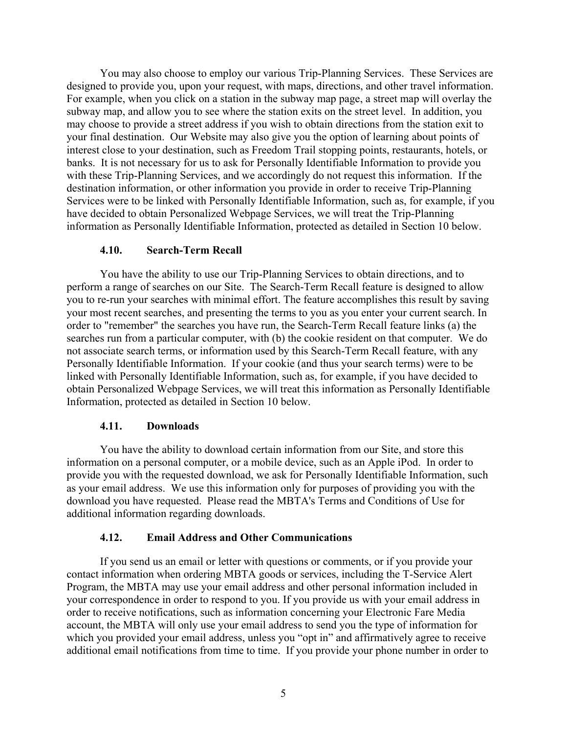You may also choose to employ our various Trip-Planning Services. These Services are designed to provide you, upon your request, with maps, directions, and other travel information. For example, when you click on a station in the subway map page, a street map will overlay the subway map, and allow you to see where the station exits on the street level. In addition, you may choose to provide a street address if you wish to obtain directions from the station exit to your final destination. Our Website may also give you the option of learning about points of interest close to your destination, such as Freedom Trail stopping points, restaurants, hotels, or banks. It is not necessary for us to ask for Personally Identifiable Information to provide you with these Trip-Planning Services, and we accordingly do not request this information. If the destination information, or other information you provide in order to receive Trip-Planning Services were to be linked with Personally Identifiable Information, such as, for example, if you have decided to obtain Personalized Webpage Services, we will treat the Trip-Planning information as Personally Identifiable Information, protected as detailed in Section 10 below.

#### **4.10. Search-Term Recall**

You have the ability to use our Trip-Planning Services to obtain directions, and to perform a range of searches on our Site. The Search-Term Recall feature is designed to allow you to re-run your searches with minimal effort. The feature accomplishes this result by saving your most recent searches, and presenting the terms to you as you enter your current search. In order to "remember" the searches you have run, the Search-Term Recall feature links (a) the searches run from a particular computer, with (b) the cookie resident on that computer. We do not associate search terms, or information used by this Search-Term Recall feature, with any Personally Identifiable Information. If your cookie (and thus your search terms) were to be linked with Personally Identifiable Information, such as, for example, if you have decided to obtain Personalized Webpage Services, we will treat this information as Personally Identifiable Information, protected as detailed in Section 10 below.

#### **4.11. Downloads**

You have the ability to download certain information from our Site, and store this information on a personal computer, or a mobile device, such as an Apple iPod. In order to provide you with the requested download, we ask for Personally Identifiable Information, such as your email address. We use this information only for purposes of providing you with the download you have requested. Please read the MBTA's Terms and Conditions of Use for additional information regarding downloads.

### **4.12. Email Address and Other Communications**

If you send us an email or letter with questions or comments, or if you provide your contact information when ordering MBTA goods or services, including the T-Service Alert Program, the MBTA may use your email address and other personal information included in your correspondence in order to respond to you. If you provide us with your email address in order to receive notifications, such as information concerning your Electronic Fare Media account, the MBTA will only use your email address to send you the type of information for which you provided your email address, unless you "opt in" and affirmatively agree to receive additional email notifications from time to time. If you provide your phone number in order to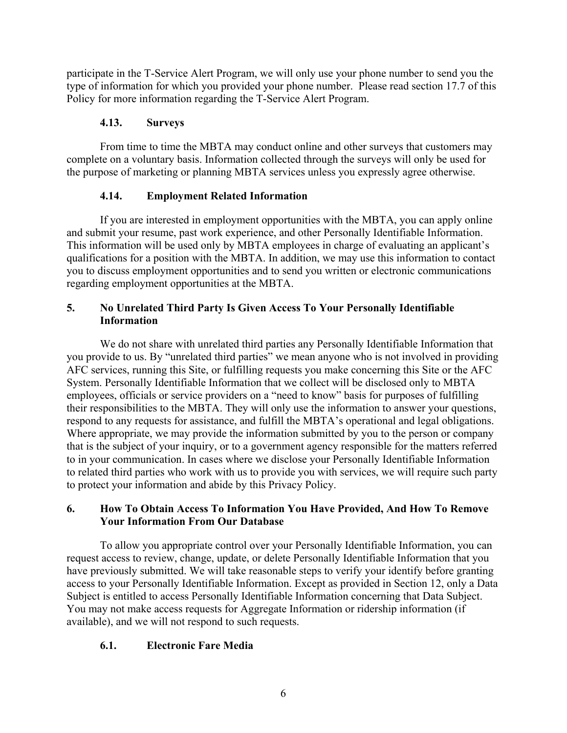participate in the T-Service Alert Program, we will only use your phone number to send you the type of information for which you provided your phone number. Please read section 17.7 of this Policy for more information regarding the T-Service Alert Program.

#### **4.13. Surveys**

From time to time the MBTA may conduct online and other surveys that customers may complete on a voluntary basis. Information collected through the surveys will only be used for the purpose of marketing or planning MBTA services unless you expressly agree otherwise.

## **4.14. Employment Related Information**

If you are interested in employment opportunities with the MBTA, you can apply online and submit your resume, past work experience, and other Personally Identifiable Information. This information will be used only by MBTA employees in charge of evaluating an applicant's qualifications for a position with the MBTA. In addition, we may use this information to contact you to discuss employment opportunities and to send you written or electronic communications regarding employment opportunities at the MBTA.

### **5. No Unrelated Third Party Is Given Access To Your Personally Identifiable Information**

We do not share with unrelated third parties any Personally Identifiable Information that you provide to us. By "unrelated third parties" we mean anyone who is not involved in providing AFC services, running this Site, or fulfilling requests you make concerning this Site or the AFC System. Personally Identifiable Information that we collect will be disclosed only to MBTA employees, officials or service providers on a "need to know" basis for purposes of fulfilling their responsibilities to the MBTA. They will only use the information to answer your questions, respond to any requests for assistance, and fulfill the MBTA's operational and legal obligations. Where appropriate, we may provide the information submitted by you to the person or company that is the subject of your inquiry, or to a government agency responsible for the matters referred to in your communication. In cases where we disclose your Personally Identifiable Information to related third parties who work with us to provide you with services, we will require such party to protect your information and abide by this Privacy Policy.

### **6. How To Obtain Access To Information You Have Provided, And How To Remove Your Information From Our Database**

To allow you appropriate control over your Personally Identifiable Information, you can request access to review, change, update, or delete Personally Identifiable Information that you have previously submitted. We will take reasonable steps to verify your identify before granting access to your Personally Identifiable Information. Except as provided in Section 12, only a Data Subject is entitled to access Personally Identifiable Information concerning that Data Subject. You may not make access requests for Aggregate Information or ridership information (if available), and we will not respond to such requests.

### **6.1. Electronic Fare Media**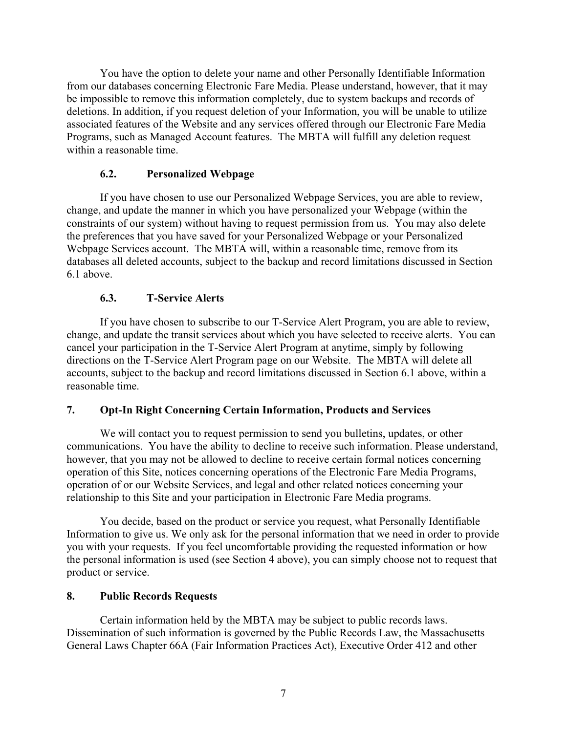You have the option to delete your name and other Personally Identifiable Information from our databases concerning Electronic Fare Media. Please understand, however, that it may be impossible to remove this information completely, due to system backups and records of deletions. In addition, if you request deletion of your Information, you will be unable to utilize associated features of the Website and any services offered through our Electronic Fare Media Programs, such as Managed Account features. The MBTA will fulfill any deletion request within a reasonable time.

### **6.2. Personalized Webpage**

If you have chosen to use our Personalized Webpage Services, you are able to review, change, and update the manner in which you have personalized your Webpage (within the constraints of our system) without having to request permission from us. You may also delete the preferences that you have saved for your Personalized Webpage or your Personalized Webpage Services account. The MBTA will, within a reasonable time, remove from its databases all deleted accounts, subject to the backup and record limitations discussed in Section 6.1 above.

## **6.3. T-Service Alerts**

If you have chosen to subscribe to our T-Service Alert Program, you are able to review, change, and update the transit services about which you have selected to receive alerts. You can cancel your participation in the T-Service Alert Program at anytime, simply by following directions on the T-Service Alert Program page on our Website. The MBTA will delete all accounts, subject to the backup and record limitations discussed in Section 6.1 above, within a reasonable time.

### **7. Opt-In Right Concerning Certain Information, Products and Services**

We will contact you to request permission to send you bulletins, updates, or other communications. You have the ability to decline to receive such information. Please understand, however, that you may not be allowed to decline to receive certain formal notices concerning operation of this Site, notices concerning operations of the Electronic Fare Media Programs, operation of or our Website Services, and legal and other related notices concerning your relationship to this Site and your participation in Electronic Fare Media programs.

You decide, based on the product or service you request, what Personally Identifiable Information to give us. We only ask for the personal information that we need in order to provide you with your requests. If you feel uncomfortable providing the requested information or how the personal information is used (see Section 4 above), you can simply choose not to request that product or service.

### **8. Public Records Requests**

Certain information held by the MBTA may be subject to public records laws. Dissemination of such information is governed by the Public Records Law, the Massachusetts General Laws Chapter 66A (Fair Information Practices Act), Executive Order 412 and other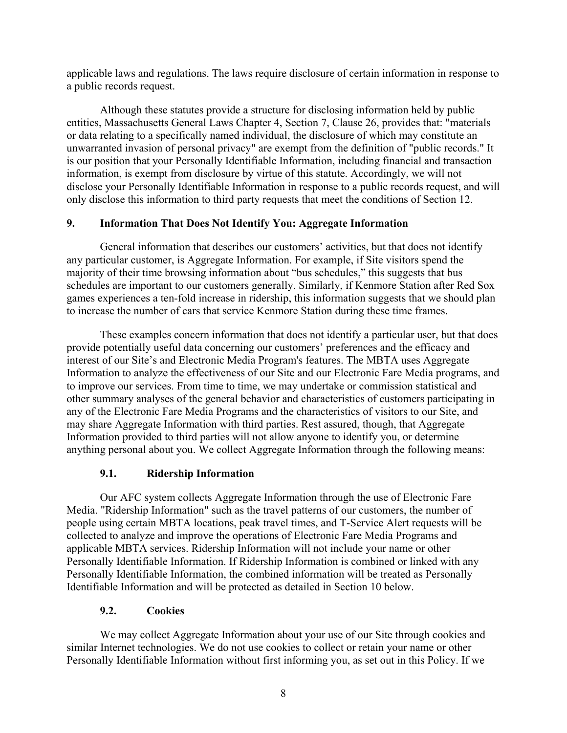applicable laws and regulations. The laws require disclosure of certain information in response to a public records request.

Although these statutes provide a structure for disclosing information held by public entities, Massachusetts General Laws Chapter 4, Section 7, Clause 26, provides that: "materials or data relating to a specifically named individual, the disclosure of which may constitute an unwarranted invasion of personal privacy" are exempt from the definition of "public records." It is our position that your Personally Identifiable Information, including financial and transaction information, is exempt from disclosure by virtue of this statute. Accordingly, we will not disclose your Personally Identifiable Information in response to a public records request, and will only disclose this information to third party requests that meet the conditions of Section 12.

### **9. Information That Does Not Identify You: Aggregate Information**

General information that describes our customers' activities, but that does not identify any particular customer, is Aggregate Information. For example, if Site visitors spend the majority of their time browsing information about "bus schedules," this suggests that bus schedules are important to our customers generally. Similarly, if Kenmore Station after Red Sox games experiences a ten-fold increase in ridership, this information suggests that we should plan to increase the number of cars that service Kenmore Station during these time frames.

These examples concern information that does not identify a particular user, but that does provide potentially useful data concerning our customers' preferences and the efficacy and interest of our Site's and Electronic Media Program's features. The MBTA uses Aggregate Information to analyze the effectiveness of our Site and our Electronic Fare Media programs, and to improve our services. From time to time, we may undertake or commission statistical and other summary analyses of the general behavior and characteristics of customers participating in any of the Electronic Fare Media Programs and the characteristics of visitors to our Site, and may share Aggregate Information with third parties. Rest assured, though, that Aggregate Information provided to third parties will not allow anyone to identify you, or determine anything personal about you. We collect Aggregate Information through the following means:

### **9.1. Ridership Information**

Our AFC system collects Aggregate Information through the use of Electronic Fare Media. "Ridership Information" such as the travel patterns of our customers, the number of people using certain MBTA locations, peak travel times, and T-Service Alert requests will be collected to analyze and improve the operations of Electronic Fare Media Programs and applicable MBTA services. Ridership Information will not include your name or other Personally Identifiable Information. If Ridership Information is combined or linked with any Personally Identifiable Information, the combined information will be treated as Personally Identifiable Information and will be protected as detailed in Section 10 below.

# **9.2. Cookies**

We may collect Aggregate Information about your use of our Site through cookies and similar Internet technologies. We do not use cookies to collect or retain your name or other Personally Identifiable Information without first informing you, as set out in this Policy. If we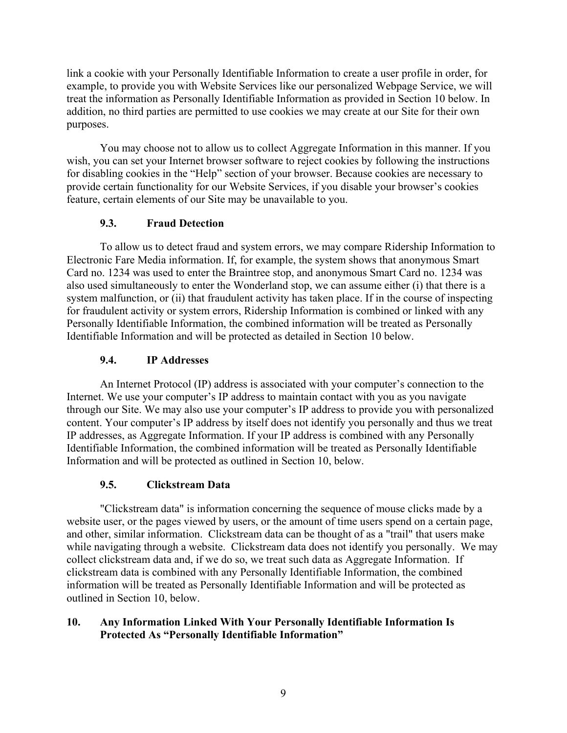link a cookie with your Personally Identifiable Information to create a user profile in order, for example, to provide you with Website Services like our personalized Webpage Service, we will treat the information as Personally Identifiable Information as provided in Section 10 below. In addition, no third parties are permitted to use cookies we may create at our Site for their own purposes.

You may choose not to allow us to collect Aggregate Information in this manner. If you wish, you can set your Internet browser software to reject cookies by following the instructions for disabling cookies in the "Help" section of your browser. Because cookies are necessary to provide certain functionality for our Website Services, if you disable your browser's cookies feature, certain elements of our Site may be unavailable to you.

## **9.3. Fraud Detection**

To allow us to detect fraud and system errors, we may compare Ridership Information to Electronic Fare Media information. If, for example, the system shows that anonymous Smart Card no. 1234 was used to enter the Braintree stop, and anonymous Smart Card no. 1234 was also used simultaneously to enter the Wonderland stop, we can assume either (i) that there is a system malfunction, or (ii) that fraudulent activity has taken place. If in the course of inspecting for fraudulent activity or system errors, Ridership Information is combined or linked with any Personally Identifiable Information, the combined information will be treated as Personally Identifiable Information and will be protected as detailed in Section 10 below.

## **9.4. IP Addresses**

An Internet Protocol (IP) address is associated with your computer's connection to the Internet. We use your computer's IP address to maintain contact with you as you navigate through our Site. We may also use your computer's IP address to provide you with personalized content. Your computer's IP address by itself does not identify you personally and thus we treat IP addresses, as Aggregate Information. If your IP address is combined with any Personally Identifiable Information, the combined information will be treated as Personally Identifiable Information and will be protected as outlined in Section 10, below.

### **9.5. Clickstream Data**

"Clickstream data" is information concerning the sequence of mouse clicks made by a website user, or the pages viewed by users, or the amount of time users spend on a certain page, and other, similar information. Clickstream data can be thought of as a "trail" that users make while navigating through a website. Clickstream data does not identify you personally. We may collect clickstream data and, if we do so, we treat such data as Aggregate Information. If clickstream data is combined with any Personally Identifiable Information, the combined information will be treated as Personally Identifiable Information and will be protected as outlined in Section 10, below.

## **10. Any Information Linked With Your Personally Identifiable Information Is Protected As "Personally Identifiable Information"**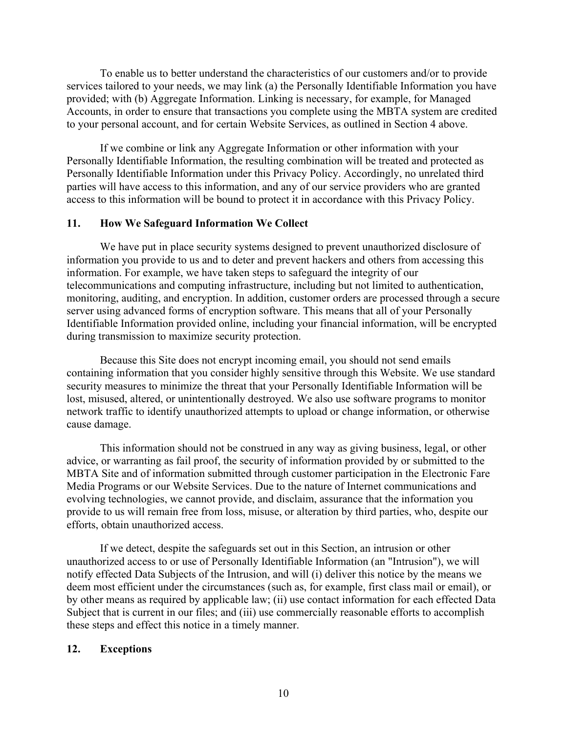To enable us to better understand the characteristics of our customers and/or to provide services tailored to your needs, we may link (a) the Personally Identifiable Information you have provided; with (b) Aggregate Information. Linking is necessary, for example, for Managed Accounts, in order to ensure that transactions you complete using the MBTA system are credited to your personal account, and for certain Website Services, as outlined in Section 4 above.

If we combine or link any Aggregate Information or other information with your Personally Identifiable Information, the resulting combination will be treated and protected as Personally Identifiable Information under this Privacy Policy. Accordingly, no unrelated third parties will have access to this information, and any of our service providers who are granted access to this information will be bound to protect it in accordance with this Privacy Policy.

#### **11. How We Safeguard Information We Collect**

We have put in place security systems designed to prevent unauthorized disclosure of information you provide to us and to deter and prevent hackers and others from accessing this information. For example, we have taken steps to safeguard the integrity of our telecommunications and computing infrastructure, including but not limited to authentication, monitoring, auditing, and encryption. In addition, customer orders are processed through a secure server using advanced forms of encryption software. This means that all of your Personally Identifiable Information provided online, including your financial information, will be encrypted during transmission to maximize security protection.

Because this Site does not encrypt incoming email, you should not send emails containing information that you consider highly sensitive through this Website. We use standard security measures to minimize the threat that your Personally Identifiable Information will be lost, misused, altered, or unintentionally destroyed. We also use software programs to monitor network traffic to identify unauthorized attempts to upload or change information, or otherwise cause damage.

This information should not be construed in any way as giving business, legal, or other advice, or warranting as fail proof, the security of information provided by or submitted to the MBTA Site and of information submitted through customer participation in the Electronic Fare Media Programs or our Website Services. Due to the nature of Internet communications and evolving technologies, we cannot provide, and disclaim, assurance that the information you provide to us will remain free from loss, misuse, or alteration by third parties, who, despite our efforts, obtain unauthorized access.

If we detect, despite the safeguards set out in this Section, an intrusion or other unauthorized access to or use of Personally Identifiable Information (an "Intrusion"), we will notify effected Data Subjects of the Intrusion, and will (i) deliver this notice by the means we deem most efficient under the circumstances (such as, for example, first class mail or email), or by other means as required by applicable law; (ii) use contact information for each effected Data Subject that is current in our files; and (iii) use commercially reasonable efforts to accomplish these steps and effect this notice in a timely manner.

#### **12. Exceptions**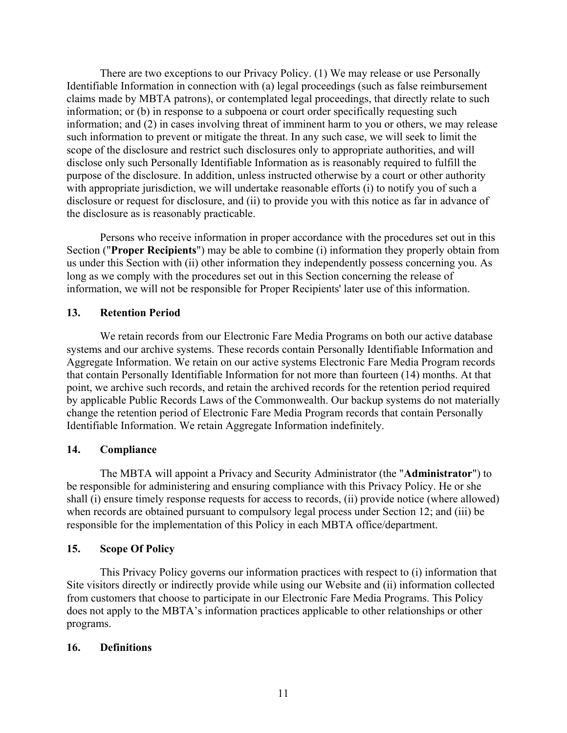There are two exceptions to our Privacy Policy. (1) We may release or use Personally Identifiable Information in connection with (a) legal proceedings (such as false reimbursement claims made by MBTA patrons), or contemplated legal proceedings, that directly relate to such information; or (b) in response to a subpoena or court order specifically requesting such information; and (2) in cases involving threat of imminent harm to you or others, we may release such information to prevent or mitigate the threat. In any such case, we will seek to limit the scope of the disclosure and restrict such disclosures only to appropriate authorities, and will disclose only such Personally Identifiable Information as is reasonably required to fulfill the purpose of the disclosure. In addition, unless instructed otherwise by a court or other authority with appropriate jurisdiction, we will undertake reasonable efforts (i) to notify you of such a disclosure or request for disclosure, and (ii) to provide you with this notice as far in advance of the disclosure as is reasonably practicable.

Persons who receive information in proper accordance with the procedures set out in this Section ("**Proper Recipients**") may be able to combine (i) information they properly obtain from us under this Section with (ii) other information they independently possess concerning you. As long as we comply with the procedures set out in this Section concerning the release of information, we will not be responsible for Proper Recipients' later use of this information.

### **13. Retention Period**

We retain records from our Electronic Fare Media Programs on both our active database systems and our archive systems. These records contain Personally Identifiable Information and Aggregate Information. We retain on our active systems Electronic Fare Media Program records that contain Personally Identifiable Information for not more than fourteen (14) months. At that point, we archive such records, and retain the archived records for the retention period required by applicable Public Records Laws of the Commonwealth. Our backup systems do not materially change the retention period of Electronic Fare Media Program records that contain Personally Identifiable Information. We retain Aggregate Information indefinitely.

### **14. Compliance**

The MBTA will appoint a Privacy and Security Administrator (the "**Administrator**") to be responsible for administering and ensuring compliance with this Privacy Policy. He or she shall (i) ensure timely response requests for access to records, (ii) provide notice (where allowed) when records are obtained pursuant to compulsory legal process under Section 12; and (iii) be responsible for the implementation of this Policy in each MBTA office/department.

### **15. Scope Of Policy**

This Privacy Policy governs our information practices with respect to (i) information that Site visitors directly or indirectly provide while using our Website and (ii) information collected from customers that choose to participate in our Electronic Fare Media Programs. This Policy does not apply to the MBTA's information practices applicable to other relationships or other programs.

### **16. Definitions**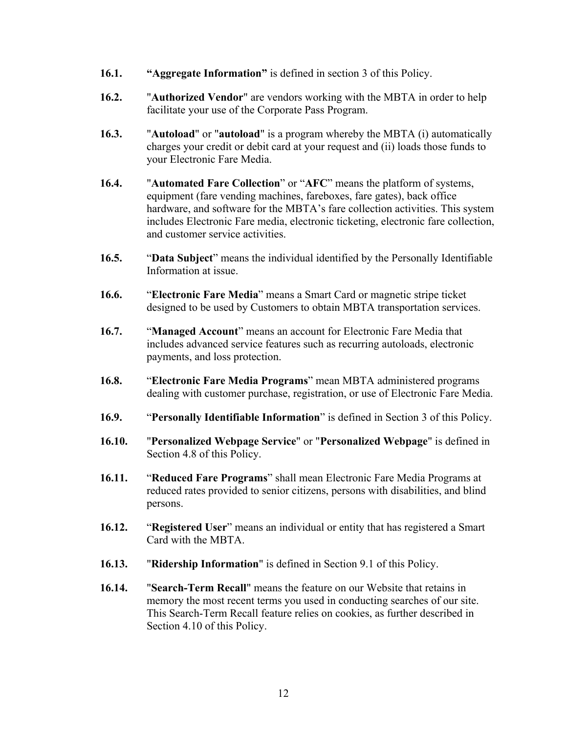- **16.1. "Aggregate Information"** is defined in section 3 of this Policy.
- **16.2.** "**Authorized Vendor**" are vendors working with the MBTA in order to help facilitate your use of the Corporate Pass Program.
- **16.3.** "**Autoload**" or "**autoload**" is a program whereby the MBTA (i) automatically charges your credit or debit card at your request and (ii) loads those funds to your Electronic Fare Media.
- **16.4.** "**Automated Fare Collection**" or "**AFC**" means the platform of systems, equipment (fare vending machines, fareboxes, fare gates), back office hardware, and software for the MBTA's fare collection activities. This system includes Electronic Fare media, electronic ticketing, electronic fare collection, and customer service activities.
- **16.5.** "**Data Subject**" means the individual identified by the Personally Identifiable Information at issue.
- **16.6.** "**Electronic Fare Media**" means a Smart Card or magnetic stripe ticket designed to be used by Customers to obtain MBTA transportation services.
- **16.7.** "**Managed Account**" means an account for Electronic Fare Media that includes advanced service features such as recurring autoloads, electronic payments, and loss protection.
- **16.8.** "**Electronic Fare Media Programs**" mean MBTA administered programs dealing with customer purchase, registration, or use of Electronic Fare Media.
- **16.9.** "**Personally Identifiable Information**" is defined in Section 3 of this Policy.
- **16.10.** "**Personalized Webpage Service**" or "**Personalized Webpage**" is defined in Section 4.8 of this Policy.
- **16.11.** "**Reduced Fare Programs**" shall mean Electronic Fare Media Programs at reduced rates provided to senior citizens, persons with disabilities, and blind persons.
- **16.12.** "**Registered User**" means an individual or entity that has registered a Smart Card with the MBTA.
- **16.13.** "**Ridership Information**" is defined in Section 9.1 of this Policy.
- **16.14.** "**Search-Term Recall**" means the feature on our Website that retains in memory the most recent terms you used in conducting searches of our site. This Search-Term Recall feature relies on cookies, as further described in Section 4.10 of this Policy.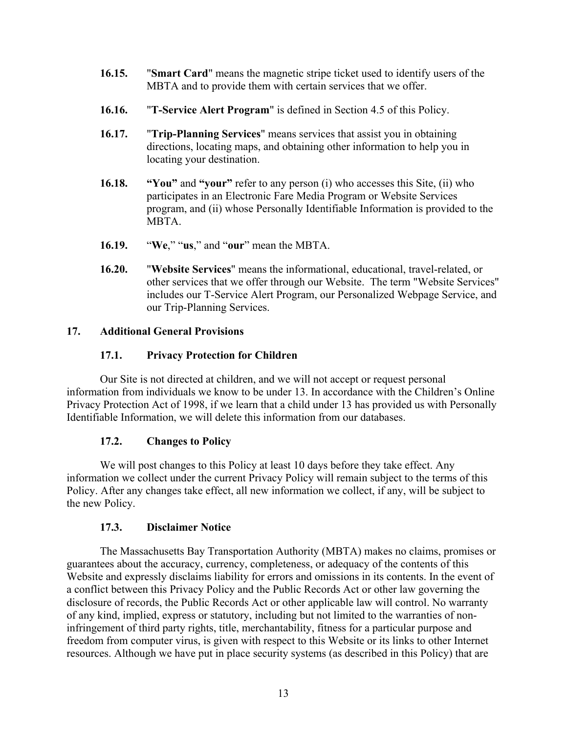- **16.15.** "**Smart Card**" means the magnetic stripe ticket used to identify users of the MBTA and to provide them with certain services that we offer.
- **16.16.** "**T-Service Alert Program**" is defined in Section 4.5 of this Policy.
- **16.17.** "**Trip-Planning Services**" means services that assist you in obtaining directions, locating maps, and obtaining other information to help you in locating your destination.
- **16.18. "You"** and "**your"** refer to any person (i) who accesses this Site, (ii) who participates in an Electronic Fare Media Program or Website Services program, and (ii) whose Personally Identifiable Information is provided to the MBTA.
- **16.19.** "**We**," "**us**," and "**our**" mean the MBTA.
- **16.20.** "**Website Services**" means the informational, educational, travel-related, or other services that we offer through our Website. The term "Website Services" includes our T-Service Alert Program, our Personalized Webpage Service, and our Trip-Planning Services.

#### **17. Additional General Provisions**

#### **17.1. Privacy Protection for Children**

Our Site is not directed at children, and we will not accept or request personal information from individuals we know to be under 13. In accordance with the Children's Online Privacy Protection Act of 1998, if we learn that a child under 13 has provided us with Personally Identifiable Information, we will delete this information from our databases.

### **17.2. Changes to Policy**

We will post changes to this Policy at least 10 days before they take effect. Any information we collect under the current Privacy Policy will remain subject to the terms of this Policy. After any changes take effect, all new information we collect, if any, will be subject to the new Policy.

### **17.3. Disclaimer Notice**

The Massachusetts Bay Transportation Authority (MBTA) makes no claims, promises or guarantees about the accuracy, currency, completeness, or adequacy of the contents of this Website and expressly disclaims liability for errors and omissions in its contents. In the event of a conflict between this Privacy Policy and the Public Records Act or other law governing the disclosure of records, the Public Records Act or other applicable law will control. No warranty of any kind, implied, express or statutory, including but not limited to the warranties of noninfringement of third party rights, title, merchantability, fitness for a particular purpose and freedom from computer virus, is given with respect to this Website or its links to other Internet resources. Although we have put in place security systems (as described in this Policy) that are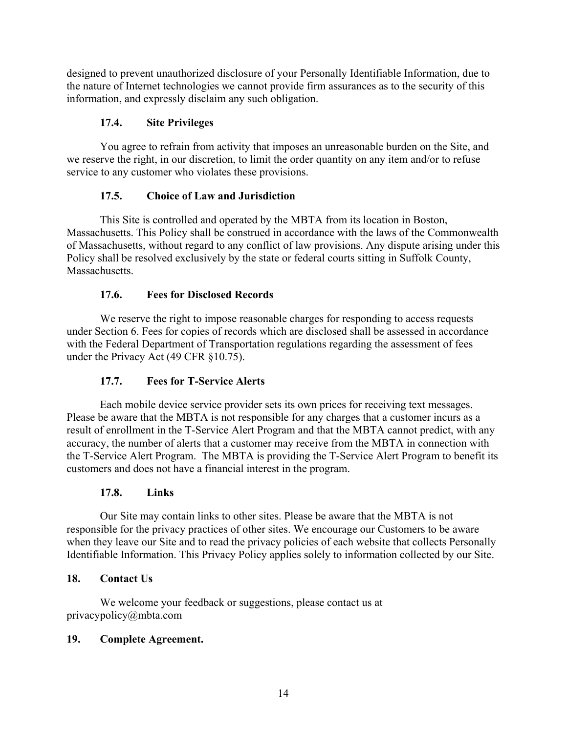designed to prevent unauthorized disclosure of your Personally Identifiable Information, due to the nature of Internet technologies we cannot provide firm assurances as to the security of this information, and expressly disclaim any such obligation.

## **17.4. Site Privileges**

You agree to refrain from activity that imposes an unreasonable burden on the Site, and we reserve the right, in our discretion, to limit the order quantity on any item and/or to refuse service to any customer who violates these provisions.

# **17.5. Choice of Law and Jurisdiction**

This Site is controlled and operated by the MBTA from its location in Boston, Massachusetts. This Policy shall be construed in accordance with the laws of the Commonwealth of Massachusetts, without regard to any conflict of law provisions. Any dispute arising under this Policy shall be resolved exclusively by the state or federal courts sitting in Suffolk County, Massachusetts.

## **17.6. Fees for Disclosed Records**

We reserve the right to impose reasonable charges for responding to access requests under Section 6. Fees for copies of records which are disclosed shall be assessed in accordance with the Federal Department of Transportation regulations regarding the assessment of fees under the Privacy Act (49 CFR §10.75).

# **17.7. Fees for T-Service Alerts**

Each mobile device service provider sets its own prices for receiving text messages. Please be aware that the MBTA is not responsible for any charges that a customer incurs as a result of enrollment in the T-Service Alert Program and that the MBTA cannot predict, with any accuracy, the number of alerts that a customer may receive from the MBTA in connection with the T-Service Alert Program. The MBTA is providing the T-Service Alert Program to benefit its customers and does not have a financial interest in the program.

### **17.8. Links**

Our Site may contain links to other sites. Please be aware that the MBTA is not responsible for the privacy practices of other sites. We encourage our Customers to be aware when they leave our Site and to read the privacy policies of each website that collects Personally Identifiable Information. This Privacy Policy applies solely to information collected by our Site.

### **18. Contact Us**

We welcome your feedback or suggestions, please contact us at privacypolicy@mbta.com

### **19. Complete Agreement.**